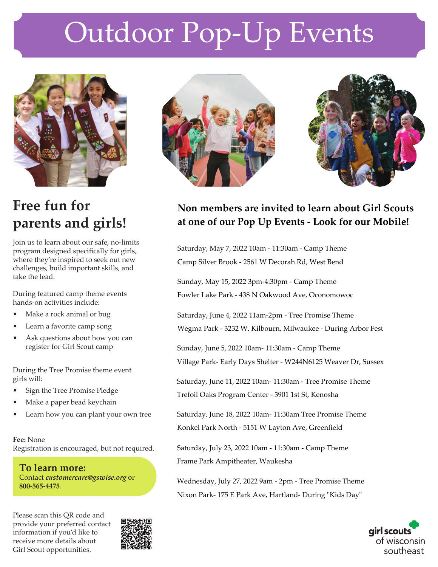# Outdoor Pop-Up Events



## **Free fun for parents and girls!**

Join us to learn about our safe, no-limits program designed speci fi cally for girls, where they're inspired to seek out new challenges, build important skills, and take the lead.

During featured camp theme events hands-on activities include:

- Make a rock animal or bug
- Learn a favorite camp song
- Ask questions about how you can register for Girl Scout camp

During the Tree Promise theme event girls will:

- Sign the Tree Promise Pledge
- Make a paper bead keychain
- Learn how you can plant your own tree

**Fee:** NoneRegistration is encouraged, but not required.

**To learn more:**  Contact *customercare@gswise.org* or **800-565-4475**.

Please scan this QR code and provide your preferred contact information if you'd like to receive more details about Girl Scout opportunities.







### **Non members are invited to learn about Girl Scouts at one of our Pop Up Events - Look for our Mobile!**

Saturday, May 7, 2022 10am - 11:30am - Camp ThemeCamp Silver Brook - 2561 W Decorah Rd, West Bend

Sunday, May 15, 2022 3pm-4:30pm - Camp ThemeFowler Lake Park - 438 N Oakwood Ave, Oconomowoc

Saturday, June 4, 2022 11am-2pm - Tree Promise ThemeWegma Park - 3232 W. Kilbourn, Milwaukee - During Arbor Fest

Sunday, June 5, 2022 10am- 11:30am - Camp ThemeVillage Park- Early Days Shelter - W244N6125 Weaver Dr, Sussex

Saturday, June 11, 2022 10am- 11:30am - Tree Promise ThemeTrefoil Oaks Program Center - 3901 1st St, Kenosha

Saturday, June 18, 2022 10am- 11:30am Tree Promise ThemeKonkel Park North - 5151 W Layton Ave, Greenfield

Saturday, July 23, 2022 10am - 11:30am - Camp ThemeFrame Park Ampitheater, Waukesha

Wednesday, July 27, 2022 9am - 2pm - Tree Promise ThemeNixon Park- 175 E Park Ave, Hartland- During "Kids Day"